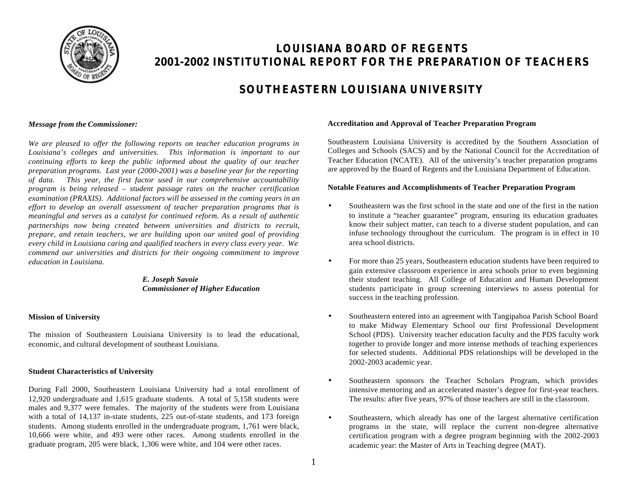

## **LOUISIANA BOARD OF REGENTS 2001-2002 INSTITUTIONAL REPORT FOR THE PREPARATION OF TEACHERS**

## **SOUTHEASTERN LOUISIANA UNIVERSITY**

#### *Message from the Commissioner:*

*We are pleased to offer the following reports on teacher education programs in Louisiana's colleges and universities. This information is important to our continuing efforts to keep the public informed about the quality of our teacher preparation programs. Last year (2000-2001) was a baseline year for the reporting of data. This year, the first factor used in our comprehensive accountability program is being released – student passage rates on the teacher certification examination (PRAXIS). Additional factors will be assessed in the coming years in an effort to develop an overall assessment of teacher preparation programs that is meaningful and serves as a catalyst for continued reform. As a result of authentic partnerships now being created between universities and districts to recruit, prepare, and retain teachers, we are building upon our united goal of providing every child in Louisiana caring and qualified teachers in every class every year. We commend our universities and districts for their ongoing commitment to improve education in Louisiana.*

### *E. Joseph Savoie Commissioner of Higher Education*

#### **Mission of University**

The mission of Southeastern Louisiana University is to lead the educational, economic, and cultural development of southeast Louisiana.

#### **Student Characteristics of University**

During Fall 2000, Southeastern Louisiana University had a total enrollment of 12,920 undergraduate and 1,615 graduate students. A total of 5,158 students were males and 9,377 were females. The majority of the students were from Louisiana with a total of 14,137 in-state students, 225 out-of-state students, and 173 foreign students. Among students enrolled in the undergraduate program, 1,761 were black, 10,666 were white, and 493 were other races. Among students enrolled in the graduate program, 205 were black, 1,306 were white, and 104 were other races.

#### **Accreditation and Approval of Teacher Preparation Program**

Southeastern Louisiana University is accredited by the Southern Association of Colleges and Schools (SACS) and by the National Council for the Accreditation of Teacher Education (NCATE). All of the university's teacher preparation programs are approved by the Board of Regents and the Louisiana Department of Education.

#### **Notable Features and Accomplishments of Teacher Preparation Program**

- Southeastern was the first school in the state and one of the first in the nation to institute a "teacher guarantee" program, ensuring its education graduates know their subject matter, can teach to a diverse student population, and can infuse technology throughout the curriculum. The program is in effect in 10 area school districts.
- For more than 25 years, Southeastern education students have been required to gain extensive classroom experience in area schools prior to even beginning their student teaching. All College of Education and Human Development students participate in group screening interviews to assess potential for success in the teaching profession.
- Southeastern entered into an agreement with Tangipahoa Parish School Board to make Midway Elementary School our first Professional Development School (PDS). University teacher education faculty and the PDS faculty work together to provide longer and more intense methods of teaching experiences for selected students. Additional PDS relationships will be developed in the 2002-2003 academic year.
- Southeastern sponsors the Teacher Scholars Program, which provides intensive mentoring and an accelerated master's degree for first-year teachers. The results: after five years, 97% of those teachers are still in the classroom.
- Southeastern, which already has one of the largest alternative certification programs in the state, will replace the current non-degree alternative certification program with a degree program beginning with the 2002-2003 academic year: the Master of Arts in Teaching degree (MAT).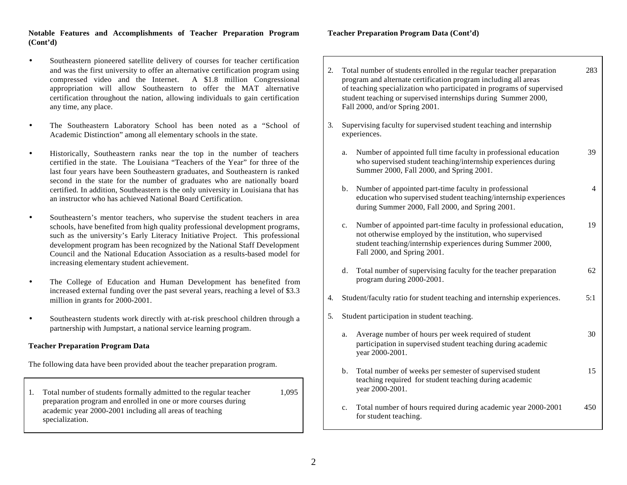### **Notable Features and Accomplishments of Teacher Preparation Program (Cont'd)**

- Southeastern pioneered satellite delivery of courses for teacher certification and was the first university to offer an alternative certification program using compressed video and the Internet. A \$1.8 million Congressional appropriation will allow Southeastern to offer the MAT alternative certification throughout the nation, allowing individuals to gain certification any time, any place.
- The Southeastern Laboratory School has been noted as a "School of Academic Distinction" among all elementary schools in the state.
- Historically, Southeastern ranks near the top in the number of teachers certified in the state. The Louisiana "Teachers of the Year" for three of the last four years have been Southeastern graduates, and Southeastern is ranked second in the state for the number of graduates who are nationally board certified. In addition, Southeastern is the only university in Louisiana that has an instructor who has achieved National Board Certification.
- Southeastern's mentor teachers, who supervise the student teachers in area schools, have benefited from high quality professional development programs, such as the university's Early Literacy Initiative Project. This professional development program has been recognized by the National Staff Development Council and the National Education Association as a results-based model for increasing elementary student achievement.
- The College of Education and Human Development has benefited from increased external funding over the past several years, reaching a level of \$3.3 million in grants for 2000-2001.
- Southeastern students work directly with at-risk preschool children through a partnership with Jumpstart, a national service learning program.

### **Teacher Preparation Program Data**

The following data have been provided about the teacher preparation program.

1. Total number of students formally admitted to the regular teacher 1,095 preparation program and enrolled in one or more courses during academic year 2000-2001 including all areas of teaching specialization.

2. Total number of students enrolled in the regular teacher preparation 283 program and alternate certification program including all areas of teaching specialization who participated in programs of supervised student teaching or supervised internships during Summer 2000, Fall 2000, and/or Spring 2001. 3. Supervising faculty for supervised student teaching and internship experiences. a. Number of appointed full time faculty in professional education 39 who supervised student teaching/internship experiences during Summer 2000, Fall 2000, and Spring 2001. b. Number of appointed part-time faculty in professional 4 education who supervised student teaching/internship experiences during Summer 2000, Fall 2000, and Spring 2001. c. Number of appointed part-time faculty in professional education, 19 not otherwise employed by the institution, who supervised student teaching/internship experiences during Summer 2000, Fall 2000, and Spring 2001. d. Total number of supervising faculty for the teacher preparation 62 program during 2000-2001. 4. Student/faculty ratio for student teaching and internship experiences. 5:1 5. Student participation in student teaching. a. Average number of hours per week required of student 30 participation in supervised student teaching during academic year 2000-2001. b. Total number of weeks per semester of supervised student 15 teaching required for student teaching during academic year 2000-2001. c. Total number of hours required during academic year 2000-2001 450 for student teaching.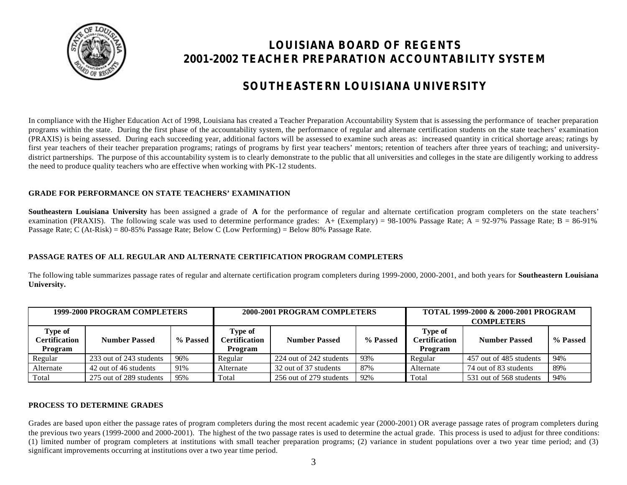

## **LOUISIANA BOARD OF REGENTS 2001-2002 TEACHER PREPARATION ACCOUNTABILITY SYSTEM**

## **SOUTHEASTERN LOUISIANA UNIVERSITY**

In compliance with the Higher Education Act of 1998, Louisiana has created a Teacher Preparation Accountability System that is assessing the performance of teacher preparation programs within the state. During the first phase of the accountability system, the performance of regular and alternate certification students on the state teachers' examination (PRAXIS) is being assessed. During each succeeding year, additional factors will be assessed to examine such areas as: increased quantity in critical shortage areas; ratings by first year teachers of their teacher preparation programs; ratings of programs by first year teachers' mentors; retention of teachers after three years of teaching; and universitydistrict partnerships. The purpose of this accountability system is to clearly demonstrate to the public that all universities and colleges in the state are diligently working to address the need to produce quality teachers who are effective when working with PK-12 students.

### **GRADE FOR PERFORMANCE ON STATE TEACHERS' EXAMINATION**

**Southeastern Louisiana University** has been assigned a grade of **A** for the performance of regular and alternate certification program completers on the state teachers' examination (PRAXIS). The following scale was used to determine performance grades:  $A + (Exemplary) = 98-100\%$  Passage Rate;  $A = 92-97\%$  Passage Rate;  $B = 86-91\%$ Passage Rate; C (At-Risk) = 80-85% Passage Rate; Below C (Low Performing) = Below 80% Passage Rate.

### **PASSAGE RATES OF ALL REGULAR AND ALTERNATE CERTIFICATION PROGRAM COMPLETERS**

The following table summarizes passage rates of regular and alternate certification program completers during 1999-2000, 2000-2001, and both years for **Southeastern Louisiana University.**

| 1999-2000 PROGRAM COMPLETERS        |                         |          | 2000-2001 PROGRAM COMPLETERS        |                         |          | <b>TOTAL 1999-2000 &amp; 2000-2001 PROGRAM</b><br><b>COMPLETERS</b> |                         |          |
|-------------------------------------|-------------------------|----------|-------------------------------------|-------------------------|----------|---------------------------------------------------------------------|-------------------------|----------|
| Type of<br>Certification<br>Program | <b>Number Passed</b>    | % Passed | Type of<br>Certification<br>Program | <b>Number Passed</b>    | % Passed | Type of<br><b>Certification</b><br>Program                          | <b>Number Passed</b>    | % Passed |
| Regular                             | 233 out of 243 students | 96%      | Regular                             | 224 out of 242 students | 93%      | Regular                                                             | 457 out of 485 students | 94%      |
| Alternate                           | 42 out of 46 students   | 91%      | Alternate                           | 32 out of 37 students   | 87%      | Alternate                                                           | 74 out of 83 students   | 89%      |
| Total                               | 275 out of 289 students | 95%      | Total                               | 256 out of 279 students | 92%      | Total                                                               | 531 out of 568 students | 94%      |

### **PROCESS TO DETERMINE GRADES**

Grades are based upon either the passage rates of program completers during the most recent academic year (2000-2001) OR average passage rates of program completers during the previous two years (1999-2000 and 2000-2001). The highest of the two passage rates is used to determine the actual grade. This process is used to adjust for three conditions: (1) limited number of program completers at institutions with small teacher preparation programs; (2) variance in student populations over a two year time period; and (3) significant improvements occurring at institutions over a two year time period.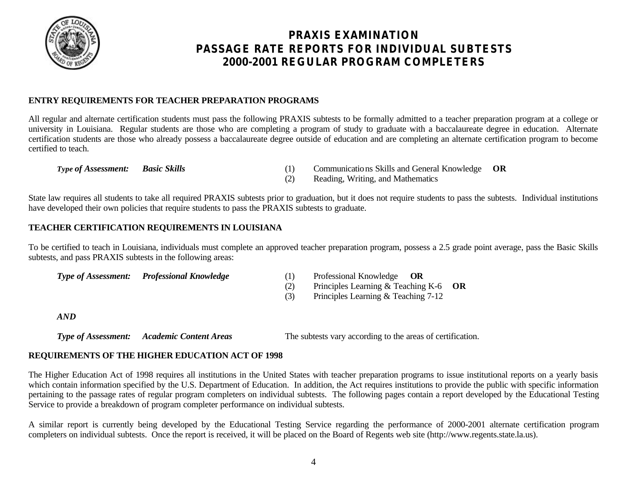

## **PRAXIS EXAMINATION PASSAGE RATE REPORTS FOR INDIVIDUAL SUBTESTS 2000-2001 REGULAR PROGRAM COMPLETERS**

## **ENTRY REQUIREMENTS FOR TEACHER PREPARATION PROGRAMS**

All regular and alternate certification students must pass the following PRAXIS subtests to be formally admitted to a teacher preparation program at a college or university in Louisiana. Regular students are those who are completing a program of study to graduate with a baccalaureate degree in education. Alternate certification students are those who already possess a baccalaureate degree outside of education and are completing an alternate certification program to become certified to teach.

- *Type of Assessment: Basic Skills* (1) Communications Skills and General Knowledge **OR**
	- (2) Reading, Writing, and Mathematics

State law requires all students to take all required PRAXIS subtests prior to graduation, but it does not require students to pass the subtests. Individual institutions have developed their own policies that require students to pass the PRAXIS subtests to graduate.

### **TEACHER CERTIFICATION REQUIREMENTS IN LOUISIANA**

To be certified to teach in Louisiana, individuals must complete an approved teacher preparation program, possess a 2.5 grade point average, pass the Basic Skills subtests, and pass PRAXIS subtests in the following areas:

*Type of Assessment: Professional Knowledge* (1) Professional Knowledge **OR**

- 
- (2) Principles Learning & Teaching K-6 **OR**
- (3) Principles Learning & Teaching 7-12

*AND*

*Type of Assessment: Academic Content Areas* The subtests vary according to the areas of certification.

## **REQUIREMENTS OF THE HIGHER EDUCATION ACT OF 1998**

The Higher Education Act of 1998 requires all institutions in the United States with teacher preparation programs to issue institutional reports on a yearly basis which contain information specified by the U.S. Department of Education. In addition, the Act requires institutions to provide the public with specific information pertaining to the passage rates of regular program completers on individual subtests. The following pages contain a report developed by the Educational Testing Service to provide a breakdown of program completer performance on individual subtests.

A similar report is currently being developed by the Educational Testing Service regarding the performance of 2000-2001 alternate certification program completers on individual subtests. Once the report is received, it will be placed on the Board of Regents web site (http://www.regents.state.la.us).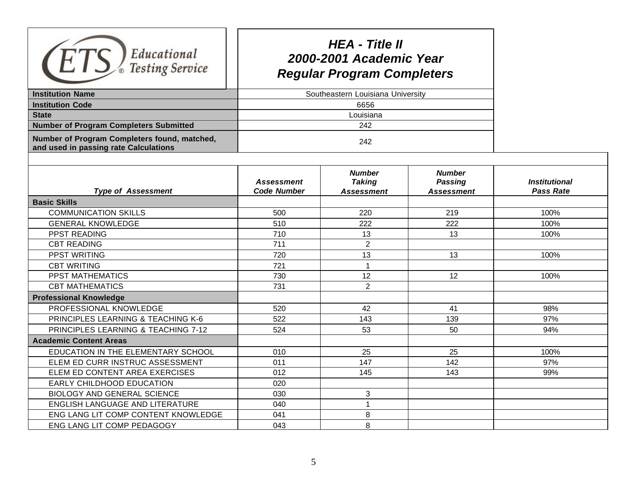| Educational<br><b>Testing Service</b>                                                 | 2000-2001 Academic Year<br><b>Regular Program Completers</b> |                                                     |                                                      |                                          |
|---------------------------------------------------------------------------------------|--------------------------------------------------------------|-----------------------------------------------------|------------------------------------------------------|------------------------------------------|
| <b>Institution Name</b>                                                               |                                                              | Southeastern Louisiana University                   |                                                      |                                          |
| <b>Institution Code</b>                                                               |                                                              | 6656                                                |                                                      |                                          |
| <b>State</b>                                                                          |                                                              | Louisiana                                           |                                                      |                                          |
| <b>Number of Program Completers Submitted</b>                                         |                                                              | 242                                                 |                                                      |                                          |
| Number of Program Completers found, matched,<br>and used in passing rate Calculations |                                                              |                                                     |                                                      |                                          |
| <b>Type of Assessment</b>                                                             | <b>Assessment</b><br><b>Code Number</b>                      | <b>Number</b><br><b>Taking</b><br><b>Assessment</b> | <b>Number</b><br><b>Passing</b><br><b>Assessment</b> | <b>Institutional</b><br><b>Pass Rate</b> |
| <b>Basic Skills</b>                                                                   |                                                              |                                                     |                                                      |                                          |
| <b>COMMUNICATION SKILLS</b>                                                           | 500                                                          | 220                                                 | 219                                                  | 100%                                     |
| <b>GENERAL KNOWLEDGE</b>                                                              | 510                                                          | 222                                                 | 222                                                  | 100%                                     |
| PPST READING                                                                          | 710                                                          | 13                                                  | 13                                                   | 100%                                     |
| <b>CBT READING</b>                                                                    | 711                                                          | $\overline{2}$                                      |                                                      |                                          |
| PPST WRITING                                                                          | 720                                                          | 13                                                  | 13                                                   | 100%                                     |
| <b>CBT WRITING</b>                                                                    | 721                                                          | 1                                                   |                                                      |                                          |
| <b>PPST MATHEMATICS</b>                                                               | 730                                                          | 12                                                  | 12                                                   | 100%                                     |
| <b>CBT MATHEMATICS</b>                                                                | 731                                                          | 2                                                   |                                                      |                                          |
| <b>Professional Knowledge</b>                                                         |                                                              |                                                     |                                                      |                                          |
| PROFESSIONAL KNOWLEDGE                                                                | 520                                                          | 42                                                  | 41                                                   | 98%                                      |
| PRINCIPLES LEARNING & TEACHING K-6                                                    | 522                                                          | 143                                                 | 139                                                  | 97%                                      |
| PRINCIPLES LEARNING & TEACHING 7-12                                                   | 524                                                          | 53                                                  | 50                                                   | 94%                                      |
| <b>Academic Content Areas</b>                                                         |                                                              |                                                     |                                                      |                                          |
| EDUCATION IN THE ELEMENTARY SCHOOL                                                    | 010                                                          | 25                                                  | 25                                                   | 100%                                     |
| ELEM ED CURR INSTRUC ASSESSMENT                                                       | 011                                                          | 147                                                 | 142                                                  | 97%                                      |
| ELEM ED CONTENT AREA EXERCISES                                                        | 012                                                          | 145                                                 | 143                                                  | 99%                                      |
| EARLY CHILDHOOD EDUCATION                                                             | 020                                                          |                                                     |                                                      |                                          |
| <b>BIOLOGY AND GENERAL SCIENCE</b>                                                    | 030                                                          | 3                                                   |                                                      |                                          |
| ENGLISH LANGUAGE AND LITERATURE                                                       | 040                                                          | $\mathbf{1}$                                        |                                                      |                                          |
| ENG LANG LIT COMP CONTENT KNOWLEDGE                                                   | 041                                                          | 8                                                   |                                                      |                                          |
| ENG LANG LIT COMP PEDAGOGY                                                            | 043                                                          | 8                                                   |                                                      |                                          |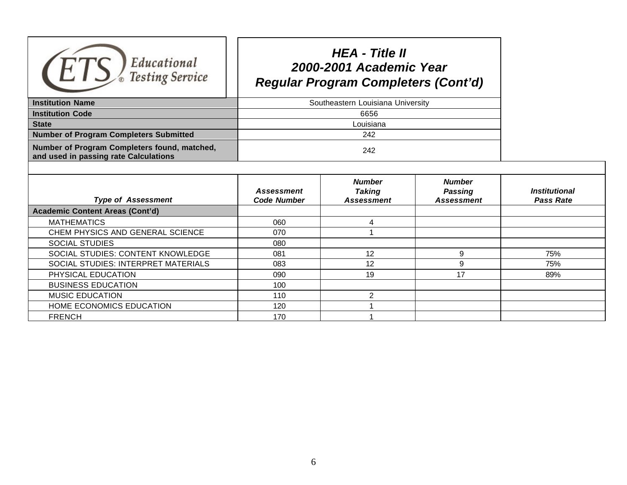

# *HEA - Title II 2000-2001 Academic Year Regular Program Completers (Cont'd)*

| <b>Institution Name</b>                                                               | Southeastern Louisiana University |
|---------------------------------------------------------------------------------------|-----------------------------------|
| <b>Institution Code</b>                                                               | 6656                              |
| <b>State</b>                                                                          | Louisiana                         |
| <b>Number of Program Completers Submitted</b>                                         | 242                               |
| Number of Program Completers found, matched,<br>and used in passing rate Calculations | 242                               |

| <b>Type of Assessment</b>              | <b>Assessment</b><br><b>Code Number</b> | <b>Number</b><br><b>Taking</b><br><b>Assessment</b> | <b>Number</b><br><b>Passing</b><br><b>Assessment</b> | <i><b>Institutional</b></i><br><b>Pass Rate</b> |
|----------------------------------------|-----------------------------------------|-----------------------------------------------------|------------------------------------------------------|-------------------------------------------------|
| <b>Academic Content Areas (Cont'd)</b> |                                         |                                                     |                                                      |                                                 |
| <b>MATHEMATICS</b>                     | 060                                     | 4                                                   |                                                      |                                                 |
| CHEM PHYSICS AND GENERAL SCIENCE       | 070                                     |                                                     |                                                      |                                                 |
| <b>SOCIAL STUDIES</b>                  | 080                                     |                                                     |                                                      |                                                 |
| SOCIAL STUDIES: CONTENT KNOWLEDGE      | 081                                     | 12                                                  | 9                                                    | 75%                                             |
| SOCIAL STUDIES: INTERPRET MATERIALS    | 083                                     | 12                                                  | 9                                                    | 75%                                             |
| PHYSICAL EDUCATION                     | 090                                     | 19                                                  | 17                                                   | 89%                                             |
| <b>BUSINESS EDUCATION</b>              | 100                                     |                                                     |                                                      |                                                 |
| <b>MUSIC EDUCATION</b>                 | 110                                     | $\mathfrak{p}$                                      |                                                      |                                                 |
| HOME ECONOMICS EDUCATION               | 120                                     |                                                     |                                                      |                                                 |
| <b>FRENCH</b>                          | 170                                     |                                                     |                                                      |                                                 |